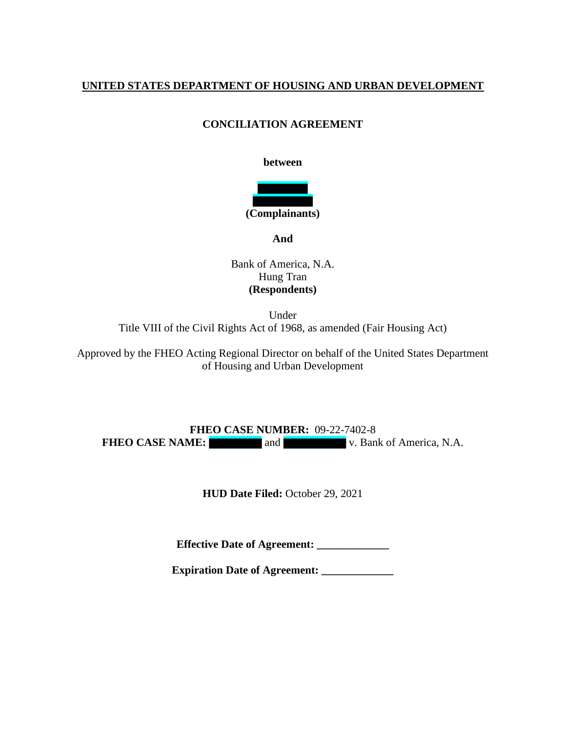### **UNITED STATES DEPARTMENT OF HOUSING AND URBAN DEVELOPMENT**

### **CONCILIATION AGREEMENT**

#### **between**



**And**

Bank of America, N.A. Hung Tran **(Respondents)**

Under Title VIII of the Civil Rights Act of 1968, as amended (Fair Housing Act)

Approved by the FHEO Acting Regional Director on behalf of the United States Department of Housing and Urban Development

**FHEO CASE NUMBER:** 09-22-7402-8 **FHEO CASE NAME:** and v. Bank of America, N.A.

**HUD Date Filed:** October 29, 2021

**Effective Date of Agreement: \_\_\_\_\_\_\_\_\_\_\_\_\_**

**Expiration Date of Agreement: \_\_\_\_\_\_\_\_\_\_\_\_\_**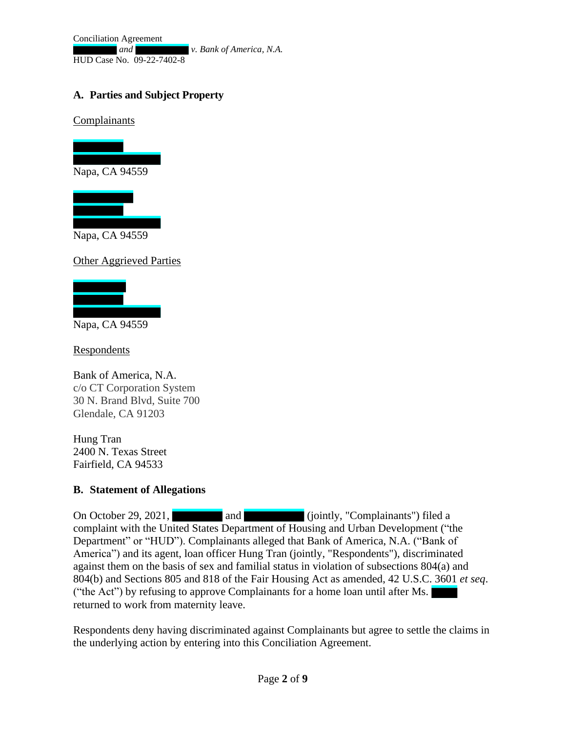Conciliation Agreement *and v. Bank of America, N.A.* HUD Case No. 09-22-7402-8

## **A. Parties and Subject Property**

Complainants





Napa, CA 94559

Other Aggrieved Parties



Napa, CA 94559

**Respondents** 

Bank of America, N.A. c/o CT Corporation System 30 N. Brand Blvd, Suite 700 Glendale, CA 91203

Hung Tran 2400 N. Texas Street Fairfield, CA 94533

#### **B. Statement of Allegations**

On October 29, 2021, **and and** (jointly, "Complainants") filed a complaint with the United States Department of Housing and Urban Development ("the Department" or "HUD"). Complainants alleged that Bank of America, N.A. ("Bank of America") and its agent, loan officer Hung Tran (jointly, "Respondents"), discriminated against them on the basis of sex and familial status in violation of subsections 804(a) and 804(b) and Sections 805 and 818 of the Fair Housing Act as amended, 42 U.S.C. 3601 *et seq*. ("the Act") by refusing to approve Complainants for a home loan until after Ms. returned to work from maternity leave.

Respondents deny having discriminated against Complainants but agree to settle the claims in the underlying action by entering into this Conciliation Agreement.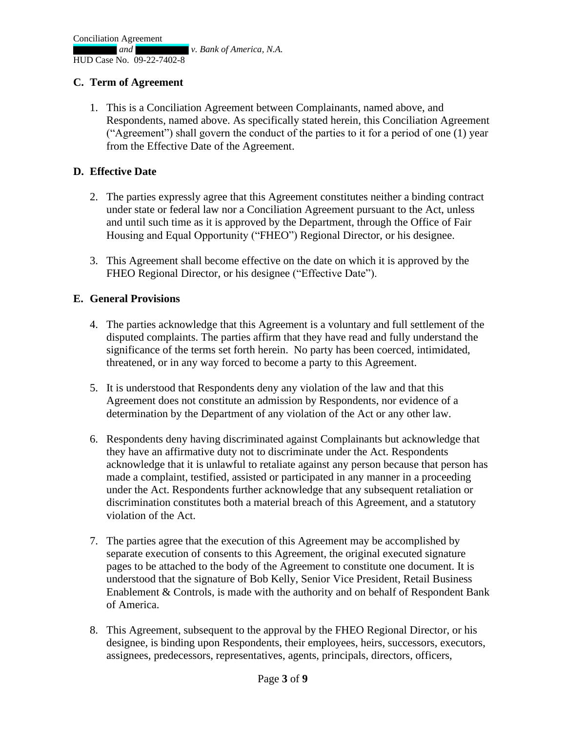### **C. Term of Agreement**

1. This is a Conciliation Agreement between Complainants, named above, and Respondents, named above. As specifically stated herein, this Conciliation Agreement ("Agreement") shall govern the conduct of the parties to it for a period of one (1) year from the Effective Date of the Agreement.

#### **D. Effective Date**

- 2. The parties expressly agree that this Agreement constitutes neither a binding contract under state or federal law nor a Conciliation Agreement pursuant to the Act, unless and until such time as it is approved by the Department, through the Office of Fair Housing and Equal Opportunity ("FHEO") Regional Director, or his designee.
- 3. This Agreement shall become effective on the date on which it is approved by the FHEO Regional Director, or his designee ("Effective Date").

#### **E. General Provisions**

- 4. The parties acknowledge that this Agreement is a voluntary and full settlement of the disputed complaints. The parties affirm that they have read and fully understand the significance of the terms set forth herein. No party has been coerced, intimidated, threatened, or in any way forced to become a party to this Agreement.
- 5. It is understood that Respondents deny any violation of the law and that this Agreement does not constitute an admission by Respondents, nor evidence of a determination by the Department of any violation of the Act or any other law.
- 6. Respondents deny having discriminated against Complainants but acknowledge that they have an affirmative duty not to discriminate under the Act. Respondents acknowledge that it is unlawful to retaliate against any person because that person has made a complaint, testified, assisted or participated in any manner in a proceeding under the Act. Respondents further acknowledge that any subsequent retaliation or discrimination constitutes both a material breach of this Agreement, and a statutory violation of the Act.
- 7. The parties agree that the execution of this Agreement may be accomplished by separate execution of consents to this Agreement, the original executed signature pages to be attached to the body of the Agreement to constitute one document. It is understood that the signature of Bob Kelly, Senior Vice President, Retail Business Enablement & Controls, is made with the authority and on behalf of Respondent Bank of America.
- 8. This Agreement, subsequent to the approval by the FHEO Regional Director, or his designee, is binding upon Respondents, their employees, heirs, successors, executors, assignees, predecessors, representatives, agents, principals, directors, officers,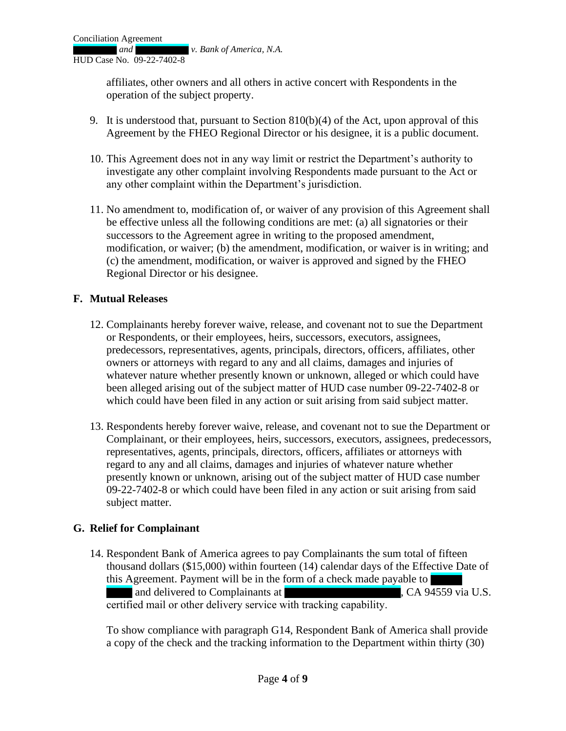affiliates, other owners and all others in active concert with Respondents in the operation of the subject property.

- 9. It is understood that, pursuant to Section 810(b)(4) of the Act, upon approval of this Agreement by the FHEO Regional Director or his designee, it is a public document.
- 10. This Agreement does not in any way limit or restrict the Department's authority to investigate any other complaint involving Respondents made pursuant to the Act or any other complaint within the Department's jurisdiction.
- 11. No amendment to, modification of, or waiver of any provision of this Agreement shall be effective unless all the following conditions are met: (a) all signatories or their successors to the Agreement agree in writing to the proposed amendment, modification, or waiver; (b) the amendment, modification, or waiver is in writing; and (c) the amendment, modification, or waiver is approved and signed by the FHEO Regional Director or his designee.

### **F. Mutual Releases**

- 12. Complainants hereby forever waive, release, and covenant not to sue the Department or Respondents, or their employees, heirs, successors, executors, assignees, predecessors, representatives, agents, principals, directors, officers, affiliates, other owners or attorneys with regard to any and all claims, damages and injuries of whatever nature whether presently known or unknown, alleged or which could have been alleged arising out of the subject matter of HUD case number 09-22-7402-8 or which could have been filed in any action or suit arising from said subject matter.
- 13. Respondents hereby forever waive, release, and covenant not to sue the Department or Complainant, or their employees, heirs, successors, executors, assignees, predecessors, representatives, agents, principals, directors, officers, affiliates or attorneys with regard to any and all claims, damages and injuries of whatever nature whether presently known or unknown, arising out of the subject matter of HUD case number 09-22-7402-8 or which could have been filed in any action or suit arising from said subject matter.

#### **G. Relief for Complainant**

14. Respondent Bank of America agrees to pay Complainants the sum total of fifteen thousand dollars (\$15,000) within fourteen (14) calendar days of the Effective Date of this Agreement. Payment will be in the form of a check made payable to and delivered to Complainants at , CA 94559 via U.S. certified mail or other delivery service with tracking capability. 

To show compliance with paragraph G14, Respondent Bank of America shall provide a copy of the check and the tracking information to the Department within thirty (30)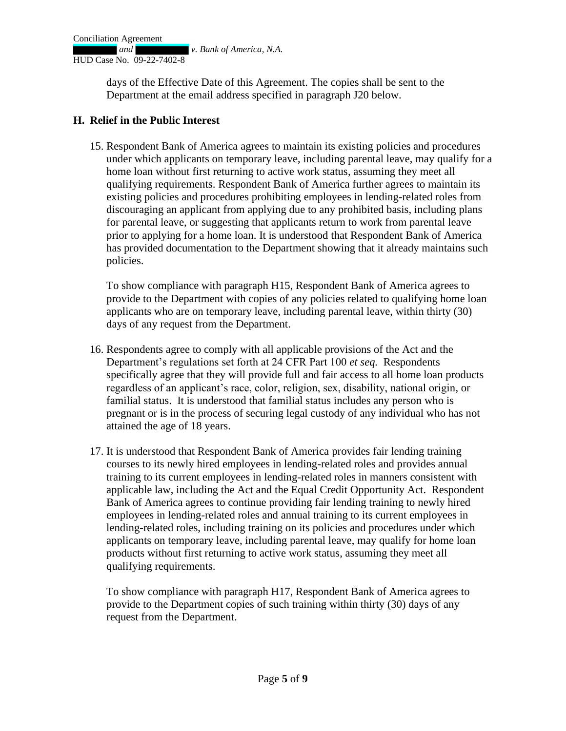days of the Effective Date of this Agreement. The copies shall be sent to the Department at the email address specified in paragraph J20 below.

### **H. Relief in the Public Interest**

15. Respondent Bank of America agrees to maintain its existing policies and procedures under which applicants on temporary leave, including parental leave, may qualify for a home loan without first returning to active work status, assuming they meet all qualifying requirements. Respondent Bank of America further agrees to maintain its existing policies and procedures prohibiting employees in lending-related roles from discouraging an applicant from applying due to any prohibited basis, including plans for parental leave, or suggesting that applicants return to work from parental leave prior to applying for a home loan. It is understood that Respondent Bank of America has provided documentation to the Department showing that it already maintains such policies.

To show compliance with paragraph H15, Respondent Bank of America agrees to provide to the Department with copies of any policies related to qualifying home loan applicants who are on temporary leave, including parental leave, within thirty (30) days of any request from the Department.

- 16. Respondents agree to comply with all applicable provisions of the Act and the Department's regulations set forth at 24 CFR Part 100 *et seq.* Respondents specifically agree that they will provide full and fair access to all home loan products regardless of an applicant's race, color, religion, sex, disability, national origin, or familial status. It is understood that familial status includes any person who is pregnant or is in the process of securing legal custody of any individual who has not attained the age of 18 years.
- 17. It is understood that Respondent Bank of America provides fair lending training courses to its newly hired employees in lending-related roles and provides annual training to its current employees in lending-related roles in manners consistent with applicable law, including the Act and the Equal Credit Opportunity Act. Respondent Bank of America agrees to continue providing fair lending training to newly hired employees in lending-related roles and annual training to its current employees in lending-related roles, including training on its policies and procedures under which applicants on temporary leave, including parental leave, may qualify for home loan products without first returning to active work status, assuming they meet all qualifying requirements.

To show compliance with paragraph H17, Respondent Bank of America agrees to provide to the Department copies of such training within thirty (30) days of any request from the Department.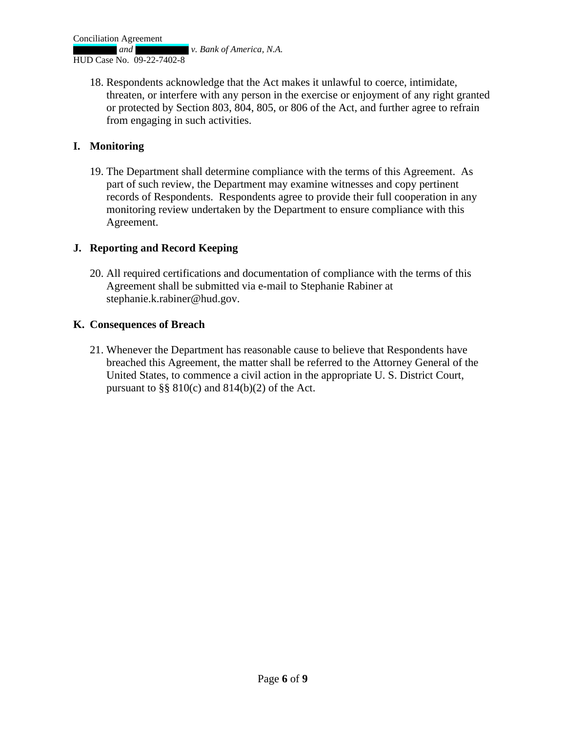**and** *v. Bank of America, N.A.* 

HUD Case No. 09-22-7402-8

18. Respondents acknowledge that the Act makes it unlawful to coerce, intimidate, threaten, or interfere with any person in the exercise or enjoyment of any right granted or protected by Section 803, 804, 805, or 806 of the Act, and further agree to refrain from engaging in such activities.

### **I. Monitoring**

19. The Department shall determine compliance with the terms of this Agreement. As part of such review, the Department may examine witnesses and copy pertinent records of Respondents. Respondents agree to provide their full cooperation in any monitoring review undertaken by the Department to ensure compliance with this Agreement.

### **J. Reporting and Record Keeping**

20. All required certifications and documentation of compliance with the terms of this Agreement shall be submitted via e-mail to Stephanie Rabiner at stephanie.k.rabiner@hud.gov.

### **K. Consequences of Breach**

21. Whenever the Department has reasonable cause to believe that Respondents have breached this Agreement, the matter shall be referred to the Attorney General of the United States, to commence a civil action in the appropriate U. S. District Court, pursuant to  $\S\S 810(c)$  and  $814(b)(2)$  of the Act.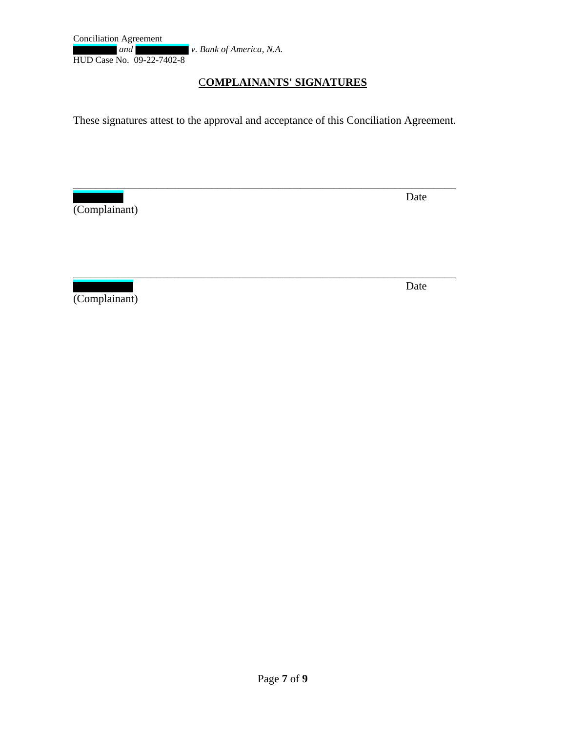Conciliation Agreement **and** *v. Bank of America, N.A.* HUD Case No. 09-22-7402-8

### C**OMPLAINANTS' SIGNATURES**

These signatures attest to the approval and acceptance of this Conciliation Agreement.

\_\_\_\_\_\_\_\_\_\_\_\_\_\_\_\_\_\_\_\_\_\_\_\_\_\_\_\_\_\_\_\_\_\_\_\_\_\_\_\_\_\_\_\_\_\_\_\_\_\_\_\_\_\_\_\_\_\_\_\_\_\_\_\_\_\_\_\_\_

\_\_\_\_\_\_\_\_\_\_\_\_\_\_\_\_\_\_\_\_\_\_\_\_\_\_\_\_\_\_\_\_\_\_\_\_\_\_\_\_\_\_\_\_\_\_\_\_\_\_\_\_\_\_\_\_\_\_\_\_\_\_\_\_\_\_\_\_\_

(Complainant)

**Date** 

(Complainant)

**Date Date**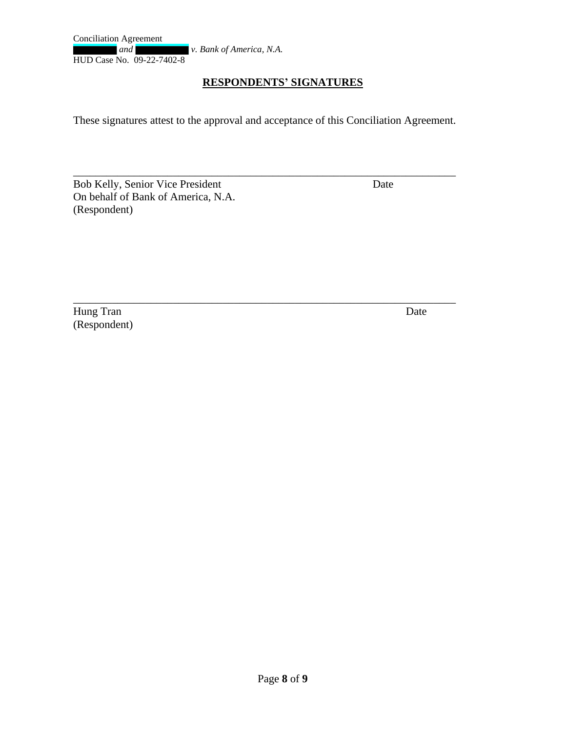## **RESPONDENTS' SIGNATURES**

These signatures attest to the approval and acceptance of this Conciliation Agreement.

\_\_\_\_\_\_\_\_\_\_\_\_\_\_\_\_\_\_\_\_\_\_\_\_\_\_\_\_\_\_\_\_\_\_\_\_\_\_\_\_\_\_\_\_\_\_\_\_\_\_\_\_\_\_\_\_\_\_\_\_\_\_\_\_\_\_\_\_\_

\_\_\_\_\_\_\_\_\_\_\_\_\_\_\_\_\_\_\_\_\_\_\_\_\_\_\_\_\_\_\_\_\_\_\_\_\_\_\_\_\_\_\_\_\_\_\_\_\_\_\_\_\_\_\_\_\_\_\_\_\_\_\_\_\_\_\_\_\_

Bob Kelly, Senior Vice President Date On behalf of Bank of America, N.A. (Respondent)

Hung Tran Date (Respondent)